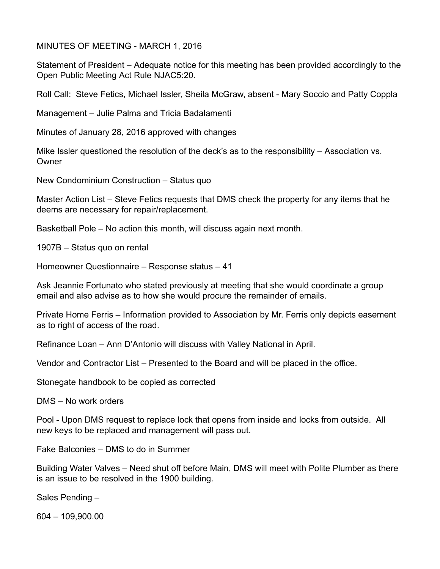MINUTES OF MEETING - MARCH 1, 2016

Statement of President – Adequate notice for this meeting has been provided accordingly to the Open Public Meeting Act Rule NJAC5:20.

Roll Call: Steve Fetics, Michael Issler, Sheila McGraw, absent - Mary Soccio and Patty Coppla

Management – Julie Palma and Tricia Badalamenti

Minutes of January 28, 2016 approved with changes

Mike Issler questioned the resolution of the deck's as to the responsibility – Association vs. **Owner** 

New Condominium Construction – Status quo

Master Action List – Steve Fetics requests that DMS check the property for any items that he deems are necessary for repair/replacement.

Basketball Pole – No action this month, will discuss again next month.

1907B – Status quo on rental

Homeowner Questionnaire – Response status – 41

Ask Jeannie Fortunato who stated previously at meeting that she would coordinate a group email and also advise as to how she would procure the remainder of emails.

Private Home Ferris – Information provided to Association by Mr. Ferris only depicts easement as to right of access of the road.

Refinance Loan – Ann D'Antonio will discuss with Valley National in April.

Vendor and Contractor List – Presented to the Board and will be placed in the office.

Stonegate handbook to be copied as corrected

DMS – No work orders

Pool - Upon DMS request to replace lock that opens from inside and locks from outside. All new keys to be replaced and management will pass out.

Fake Balconies – DMS to do in Summer

Building Water Valves – Need shut off before Main, DMS will meet with Polite Plumber as there is an issue to be resolved in the 1900 building.

Sales Pending –

604 – 109,900.00